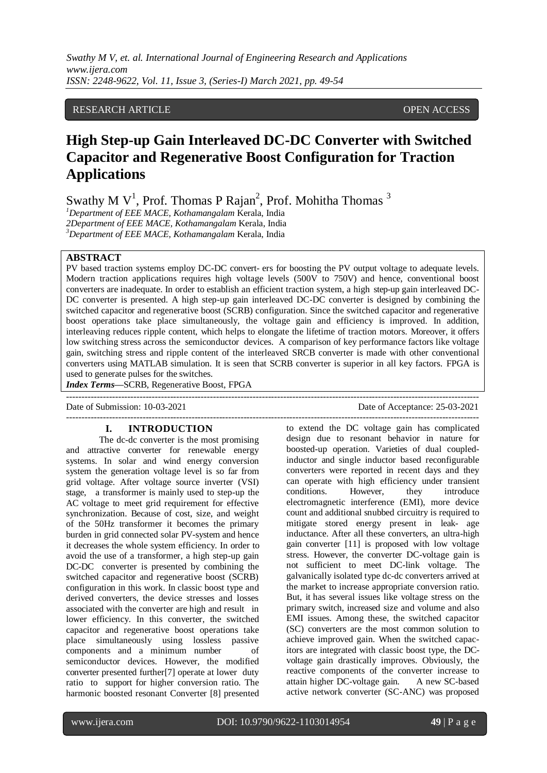*Swathy M V, et. al. International Journal of Engineering Research and Applications www.ijera.com ISSN: 2248-9622, Vol. 11, Issue 3, (Series-I) March 2021, pp. 49-54*

## RESEARCH ARTICLE OPEN ACCESS

# **High Step-up Gain Interleaved DC-DC Converter with Switched Capacitor and Regenerative Boost Configuration for Traction Applications**

Swathy M  $V^1$ , Prof. Thomas P Rajan<sup>2</sup>, Prof. Mohitha Thomas <sup>3</sup>

*<sup>1</sup>Department of EEE MACE, Kothamangalam* Kerala, India *2Department of EEE MACE, Kothamangalam* Kerala, India *<sup>3</sup>Department of EEE MACE, Kothamangalam* Kerala, India

# **ABSTRACT**

PV based traction systems employ DC-DC convert- ers for boosting the PV output voltage to adequate levels. Modern traction applications requires high voltage levels (500V to 750V) and hence, conventional boost converters are inadequate. In order to establish an efficient traction system, a high step-up gain interleaved DC-DC converter is presented. A high step-up gain interleaved DC-DC converter is designed by combining the switched capacitor and regenerative boost (SCRB) configuration. Since the switched capacitor and regenerative boost operations take place simultaneously, the voltage gain and efficiency is improved. In addition, interleaving reduces ripple content, which helps to elongate the lifetime of traction motors. Moreover, it offers low switching stress across the semiconductor devices. A comparison of key performance factors like voltage gain, switching stress and ripple content of the interleaved SRCB converter is made with other conventional converters using MATLAB simulation. It is seen that SCRB converter is superior in all key factors. FPGA is used to generate pulses for the switches.

---------------------------------------------------------------------------------------------------------------------------------------

---------------------------------------------------------------------------------------------------------------------------------------

*Index Terms***—**SCRB, Regenerative Boost, FPGA

Date of Submission: 10-03-2021 Date of Acceptance: 25-03-2021

#### **I. INTRODUCTION**

The dc-dc converter is the most promising and attractive converter for renewable energy systems. In solar and wind energy conversion system the generation voltage level is so far from grid voltage. After voltage source inverter (VSI) stage, a transformer is mainly used to step-up the AC voltage to meet grid requirement for effective synchronization. Because of cost, size, and weight of the 50Hz transformer it becomes the primary burden in grid connected solar PV-system and hence it decreases the whole system efficiency. In order to avoid the use of a transformer, a high step-up gain DC-DC converter is presented by combining the switched capacitor and regenerative boost (SCRB) configuration in this work. In classic boost type and derived converters, the device stresses and losses associated with the converter are high and result in lower efficiency. In this converter, the switched capacitor and regenerative boost operations take place simultaneously using lossless passive components and a minimum number of semiconductor devices. However, the modified converter presented further[7] operate at lower duty ratio to support for higher conversion ratio. The harmonic boosted resonant Converter [8] presented

to extend the DC voltage gain has complicated design due to resonant behavior in nature for boosted-up operation. Varieties of dual coupledinductor and single inductor based reconfigurable converters were reported in recent days and they can operate with high efficiency under transient conditions. However, they introduce electromagnetic interference (EMI), more device count and additional snubbed circuitry is required to mitigate stored energy present in leak- age inductance. After all these converters, an ultra-high gain converter [11] is proposed with low voltage stress. However, the converter DC-voltage gain is not sufficient to meet DC-link voltage. The galvanically isolated type dc-dc converters arrived at the market to increase appropriate conversion ratio. But, it has several issues like voltage stress on the primary switch, increased size and volume and also EMI issues. Among these, the switched capacitor (SC) converters are the most common solution to achieve improved gain. When the switched capacitors are integrated with classic boost type, the DCvoltage gain drastically improves. Obviously, the reactive components of the converter increase to attain higher DC-voltage gain. A new SC-based active network converter (SC-ANC) was proposed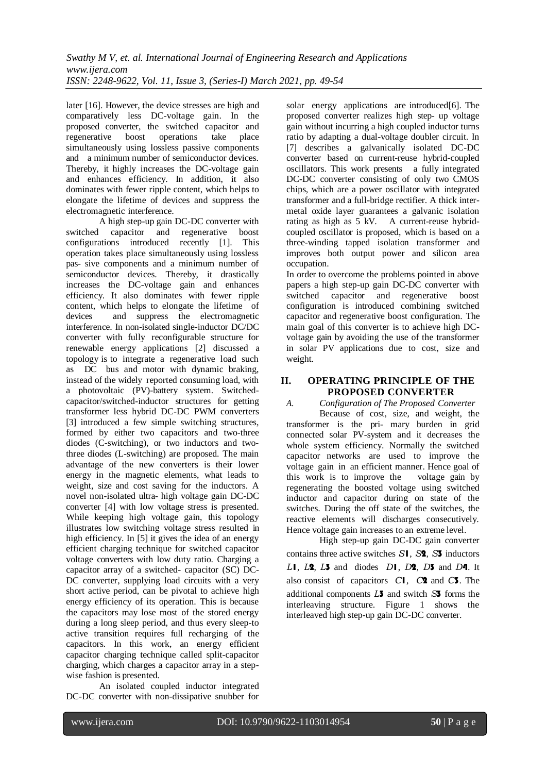later [16]. However, the device stresses are high and comparatively less DC-voltage gain. In the proposed converter, the switched capacitor and regenerative boost operations take place simultaneously using lossless passive components and a minimum number of semiconductor devices. Thereby, it highly increases the DC-voltage gain and enhances efficiency. In addition, it also dominates with fewer ripple content, which helps to elongate the lifetime of devices and suppress the electromagnetic interference.

A high step-up gain DC-DC converter with switched capacitor and regenerative boost configurations introduced recently [1]. This operation takes place simultaneously using lossless pas- sive components and a minimum number of semiconductor devices. Thereby, it drastically increases the DC-voltage gain and enhances efficiency. It also dominates with fewer ripple content, which helps to elongate the lifetime of devices and suppress the electromagnetic interference. In non-isolated single-inductor DC/DC converter with fully reconfigurable structure for renewable energy applications [2] discussed a topology is to integrate a regenerative load such as DC bus and motor with dynamic braking, instead of the widely reported consuming load, with a photovoltaic (PV)-battery system. Switchedcapacitor/switched-inductor structures for getting transformer less hybrid DC-DC PWM converters [3] introduced a few simple switching structures, formed by either two capacitors and two-three diodes (C-switching), or two inductors and twothree diodes (L-switching) are proposed. The main advantage of the new converters is their lower energy in the magnetic elements, what leads to weight, size and cost saving for the inductors. A novel non-isolated ultra- high voltage gain DC-DC converter [4] with low voltage stress is presented. While keeping high voltage gain, this topology illustrates low switching voltage stress resulted in high efficiency. In [5] it gives the idea of an energy efficient charging technique for switched capacitor voltage converters with low duty ratio. Charging a capacitor array of a switched- capacitor (SC) DC-DC converter, supplying load circuits with a very short active period, can be pivotal to achieve high energy efficiency of its operation. This is because the capacitors may lose most of the stored energy during a long sleep period, and thus every sleep-to active transition requires full recharging of the capacitors. In this work, an energy efficient capacitor charging technique called split-capacitor charging, which charges a capacitor array in a stepwise fashion is presented.

An isolated coupled inductor integrated DC-DC converter with non-dissipative snubber for solar energy applications are introduced<sup>[6]</sup>. The proposed converter realizes high step- up voltage gain without incurring a high coupled inductor turns ratio by adapting a dual-voltage doubler circuit. In [7] describes a galvanically isolated DC-DC converter based on current-reuse hybrid-coupled oscillators. This work presents a fully integrated DC-DC converter consisting of only two CMOS chips, which are a power oscillator with integrated transformer and a full-bridge rectifier. A thick intermetal oxide layer guarantees a galvanic isolation rating as high as 5 kV. A current-reuse hybridcoupled oscillator is proposed, which is based on a three-winding tapped isolation transformer and improves both output power and silicon area occupation.

In order to overcome the problems pointed in above papers a high step-up gain DC-DC converter with switched capacitor and regenerative boost configuration is introduced combining switched capacitor and regenerative boost configuration. The main goal of this converter is to achieve high DCvoltage gain by avoiding the use of the transformer in solar PV applications due to cost, size and weight.

# **II. OPERATING PRINCIPLE OF THE PROPOSED CONVERTER**

*A. Configuration of The Proposed Converter* Because of cost, size, and weight, the transformer is the pri- mary burden in grid connected solar PV-system and it decreases the whole system efficiency. Normally the switched capacitor networks are used to improve the voltage gain in an efficient manner. Hence goal of this work is to improve the voltage gain by regenerating the boosted voltage using switched inductor and capacitor during on state of the switches. During the off state of the switches, the reactive elements will discharges consecutively. Hence voltage gain increases to an extreme level.

High step-up gain DC-DC gain converter contains three active switches *S*1, *S*2, *S*3 inductors *L*1, *L*2, *L*3 and diodes *D*1, *D*2, *D*3 and *D*4. It also consist of capacitors *C*1, *C*2 and *C*3. The additional components *L*3 and switch *S*3 forms the interleaving structure. Figure 1 shows the interleaved high step-up gain DC-DC converter.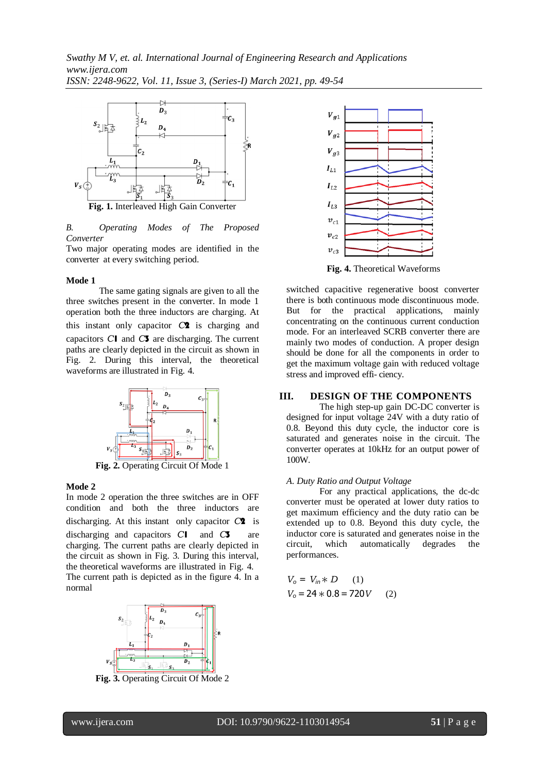

*B. Operating Modes of The Proposed Converter*

Two major operating modes are identified in the converter at every switching period.

#### **Mode 1**

The same gating signals are given to all the three switches present in the converter. In mode 1 operation both the three inductors are charging. At this instant only capacitor *C*2 is charging and capacitors *C*1 and *C*3 are discharging. The current paths are clearly depicted in the circuit as shown in Fig. 2. During this interval, the theoretical waveforms are illustrated in Fig. 4.



**Fig. 2.** Operating Circuit Of Mode 1

## **Mode 2**

In mode 2 operation the three switches are in OFF condition and both the three inductors are discharging. At this instant only capacitor *C*2 is discharging and capacitors *C*1 and *C*3 are charging. The current paths are clearly depicted in the circuit as shown in Fig. 3. During this interval, the theoretical waveforms are illustrated in Fig. 4. The current path is depicted as in the figure 4. In a normal



**Fig. 3.** Operating Circuit Of Mode 2



**Fig. 4.** Theoretical Waveforms

switched capacitive regenerative boost converter there is both continuous mode discontinuous mode. But for the practical applications, mainly concentrating on the continuous current conduction mode. For an interleaved SCRB converter there are mainly two modes of conduction. A proper design should be done for all the components in order to get the maximum voltage gain with reduced voltage stress and improved effi- ciency.

# **III. DESIGN OF THE COMPONENTS**

The high step-up gain DC-DC converter is designed for input voltage 24V with a duty ratio of 0.8. Beyond this duty cycle, the inductor core is saturated and generates noise in the circuit. The converter operates at 10kHz for an output power of 100W.

#### *A. Duty Ratio and Output Voltage*

For any practical applications, the dc-dc converter must be operated at lower duty ratios to get maximum efficiency and the duty ratio can be extended up to 0.8. Beyond this duty cycle, the inductor core is saturated and generates noise in the circuit, which automatically degrades the performances.

$$
V_o = V_{in} * D
$$
 (1)  

$$
V_o = 24 * 0.8 = 720V
$$
 (2)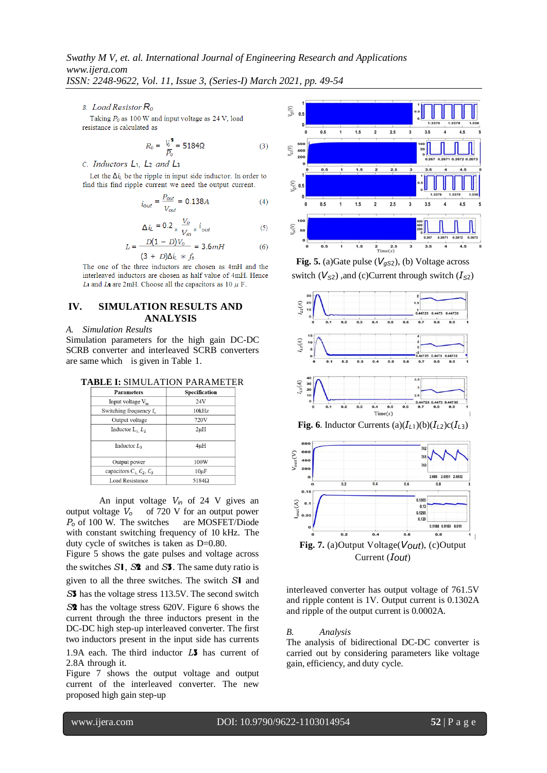*ISSN: 2248-9622, Vol. 11, Issue 3, (Series-I) March 2021, pp. 49-54*

**B.** Load Resistor  $R_0$ 

Taking  $P_0$  as 100 W and input voltage as 24 V, load resistance is calculated as

$$
R_0 = \frac{V_0^2}{P_0} = 5184\Omega
$$
 (3)

 $C.$  Inductors  $L_1$ ,  $L_2$  and  $L_3$ 

Let the  $\Delta i_{\ell}$  be the ripple in input side inductor. In order to find this find ripple current we need the output current.

$$
i_{out} = \frac{P_{out}}{V_{out}} = 0.138A\tag{4}
$$

$$
\Delta i_{L} = 0.2 \times \frac{V_o}{V_{in}} \times i_{out}
$$
 (5)

$$
L = \frac{D(1 - D)V_0}{(3 + D)\Delta u + f_s} = 3.6mH
$$
 (6)

The one of the three inductors are chosen as 4mH and the interleaved inductors are chosen as half value of 4mH. Hence Li and La are 2mH. Choose all the capacitors as 10  $\mu$  F.

## **IV. SIMULATION RESULTS AND ANALYSIS**

*A. Simulation Results*

Simulation parameters for the high gain DC-DC SCRB converter and interleaved SCRB converters are same which is given in Table 1.

| TABLE I: SIMULATION PARAMETER |  |  |  |  |  |
|-------------------------------|--|--|--|--|--|
|-------------------------------|--|--|--|--|--|

| <b>Parameters</b>                  | Specification |
|------------------------------------|---------------|
| Input voltage V <sub>in</sub>      | 24V           |
| Switching frequency f <sub>s</sub> | 10kHz         |
| Output voltage                     | 720V          |
| Inductor $L_1$ $L_2$               | $2\mu$ H      |
| Inductor $L3$                      | $4\mu$ H      |
| Output power                       | 100W          |
| capacitors $C_1$ , $C_2$ , $C_3$   | $10\mu F$     |
| <b>Load Resistance</b>             | $5184\Omega$  |

An input voltage  $V_{in}$  of 24 V gives an output voltage  $V_o$  of 720 V for an output power of 720 V for an output power *P<sup>o</sup>* of 100 W. The switches are MOSFET/Diode with constant switching frequency of 10 kHz. The duty cycle of switches is taken as D=0.80.

Figure 5 shows the gate pulses and voltage across the switches *S*1, *S*2 and *S*3. The same duty ratio is

given to all the three switches. The switch *S*1 and

*S*3 has the voltage stress 113.5V. The second switch

*S*2 has the voltage stress 620V. Figure 6 shows the current through the three inductors present in the DC-DC high step-up interleaved converter. The first two inductors present in the input side has currents

1.9A each. The third inductor *L*3 has current of 2.8A through it.

Figure 7 shows the output voltage and output current of the interleaved converter. The new proposed high gain step-up



**Fig. 5.** (a)Gate pulse  $(V_{qS2})$ , (b) Voltage across switch  $(V_{S2})$ , and (c)Current through switch  $(I_{S2})$ 





interleaved converter has output voltage of 761.5V and ripple content is 1V. Output current is 0.1302A and ripple of the output current is 0.0002A.

#### *B. Analysis*

The analysis of bidirectional DC-DC converter is carried out by considering parameters like voltage gain, efficiency, and duty cycle.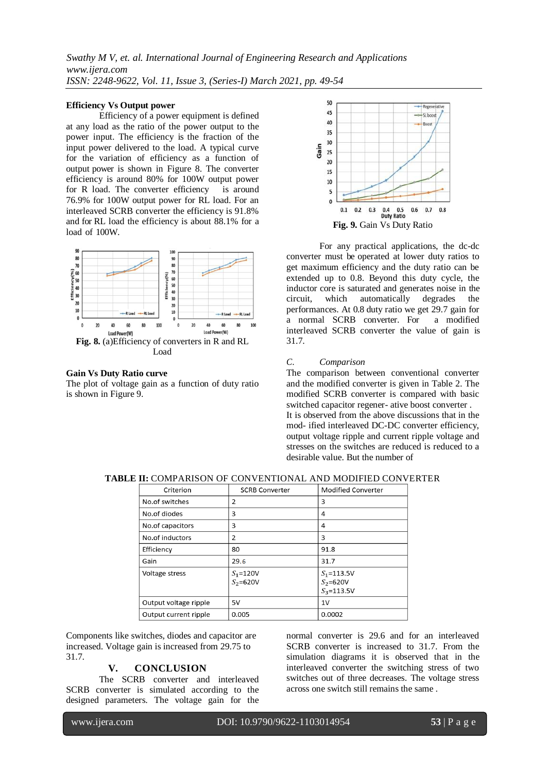*Swathy M V, et. al. International Journal of Engineering Research and Applications www.ijera.com ISSN: 2248-9622, Vol. 11, Issue 3, (Series-I) March 2021, pp. 49-54*

#### **Efficiency Vs Output power**

Efficiency of a power equipment is defined at any load as the ratio of the power output to the power input. The efficiency is the fraction of the input power delivered to the load. A typical curve for the variation of efficiency as a function of output power is shown in Figure 8. The converter efficiency is around 80% for 100W output power for R load. The converter efficiency is around 76.9% for 100W output power for RL load. For an interleaved SCRB converter the efficiency is 91.8% and for RL load the efficiency is about 88.1% for a load of 100W.



#### **Gain Vs Duty Ratio curve**

The plot of voltage gain as a function of duty ratio is shown in Figure 9.



For any practical applications, the dc-dc converter must be operated at lower duty ratios to get maximum efficiency and the duty ratio can be extended up to 0.8. Beyond this duty cycle, the inductor core is saturated and generates noise in the circuit, which automatically degrades the performances. At 0.8 duty ratio we get 29.7 gain for a normal SCRB converter. For a modified interleaved SCRB converter the value of gain is 31.7.

#### *C. Comparison*

The comparison between conventional converter and the modified converter is given in Table 2. The modified SCRB converter is compared with basic switched capacitor regener- ative boost converter . It is observed from the above discussions that in the mod- ified interleaved DC-DC converter efficiency, output voltage ripple and current ripple voltage and stresses on the switches are reduced is reduced to a desirable value. But the number of

| Criterion             | <b>SCRB Converter</b>        | <b>Modified Converter</b>                        |
|-----------------------|------------------------------|--------------------------------------------------|
| No.of switches        | 2                            | 3                                                |
| No.of diodes          | 3                            | 4                                                |
| No.of capacitors      | 3                            | 4                                                |
| No.of inductors       | 2                            | 3                                                |
| Efficiency            | 80                           | 91.8                                             |
| Gain                  | 29.6                         | 31.7                                             |
| Voltage stress        | $S_1 = 120V$<br>$S_2 = 620V$ | $S_1 = 113.5V$<br>$S_2 = 620V$<br>$S_3 = 113.5V$ |
| Output voltage ripple | 5V                           | 1V                                               |
| Output current ripple | 0.005                        | 0.0002                                           |

**TABLE II:** COMPARISON OF CONVENTIONAL AND MODIFIED CONVERTER

Components like switches, diodes and capacitor are increased. Voltage gain is increased from 29.75 to 31.7.

## **V. CONCLUSION**

The SCRB converter and interleaved SCRB converter is simulated according to the designed parameters. The voltage gain for the normal converter is 29.6 and for an interleaved SCRB converter is increased to 31.7. From the simulation diagrams it is observed that in the interleaved converter the switching stress of two switches out of three decreases. The voltage stress across one switch still remains the same .